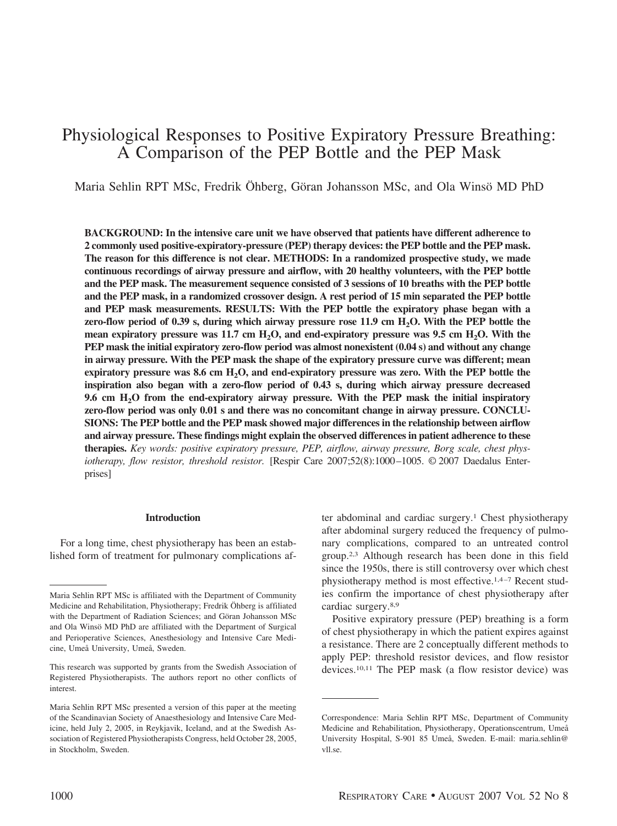# Physiological Responses to Positive Expiratory Pressure Breathing: A Comparison of the PEP Bottle and the PEP Mask

Maria Sehlin RPT MSc, Fredrik Öhberg, Göran Johansson MSc, and Ola Winsö MD PhD

**BACKGROUND: In the intensive care unit we have observed that patients have different adherence to 2 commonly used positive-expiratory-pressure (PEP) therapy devices: the PEP bottle and the PEP mask. The reason for this difference is not clear. METHODS: In a randomized prospective study, we made continuous recordings of airway pressure and airflow, with 20 healthy volunteers, with the PEP bottle and the PEP mask. The measurement sequence consisted of 3 sessions of 10 breaths with the PEP bottle and the PEP mask, in a randomized crossover design. A rest period of 15 min separated the PEP bottle and PEP mask measurements. RESULTS: With the PEP bottle the expiratory phase began with a** zero-flow period of 0.39 s, during which airway pressure rose 11.9 cm H<sub>2</sub>O. With the PEP bottle the mean expiratory pressure was 11.7 cm H<sub>2</sub>O, and end-expiratory pressure was 9.5 cm H<sub>2</sub>O. With the **PEP mask the initial expiratory zero-flow period was almost nonexistent (0.04 s) and without any change in airway pressure. With the PEP mask the shape of the expiratory pressure curve was different; mean** expiratory pressure was 8.6 cm H<sub>2</sub>O, and end-expiratory pressure was zero. With the PEP bottle the **inspiration also began with a zero-flow period of 0.43 s, during which airway pressure decreased 9.6 cm H2O from the end-expiratory airway pressure. With the PEP mask the initial inspiratory zero-flow period was only 0.01 s and there was no concomitant change in airway pressure. CONCLU-SIONS: The PEP bottle and the PEP mask showed major differences in the relationship between airflow and airway pressure. These findings might explain the observed differences in patient adherence to these therapies.** *Key words: positive expiratory pressure, PEP, airflow, airway pressure, Borg scale, chest physiotherapy, flow resistor, threshold resistor.* [Respir Care 2007;52(8):1000-1005. © 2007 Daedalus Enterprises]

#### **Introduction**

For a long time, chest physiotherapy has been an established form of treatment for pulmonary complications after abdominal and cardiac surgery.1 Chest physiotherapy after abdominal surgery reduced the frequency of pulmonary complications, compared to an untreated control group.2,3 Although research has been done in this field since the 1950s, there is still controversy over which chest physiotherapy method is most effective.<sup>1,4-7</sup> Recent studies confirm the importance of chest physiotherapy after cardiac surgery.8,9

Positive expiratory pressure (PEP) breathing is a form of chest physiotherapy in which the patient expires against a resistance. There are 2 conceptually different methods to apply PEP: threshold resistor devices, and flow resistor devices.10,11 The PEP mask (a flow resistor device) was

Maria Sehlin RPT MSc is affiliated with the Department of Community Medicine and Rehabilitation, Physiotherapy; Fredrik Öhberg is affiliated with the Department of Radiation Sciences; and Göran Johansson MSc and Ola Winsö MD PhD are affiliated with the Department of Surgical and Perioperative Sciences, Anesthesiology and Intensive Care Medicine, Umeå University, Umeå, Sweden.

This research was supported by grants from the Swedish Association of Registered Physiotherapists. The authors report no other conflicts of interest.

Maria Sehlin RPT MSc presented a version of this paper at the meeting of the Scandinavian Society of Anaesthesiology and Intensive Care Medicine, held July 2, 2005, in Reykjavik, Iceland, and at the Swedish Association of Registered Physiotherapists Congress, held October 28, 2005, in Stockholm, Sweden.

Correspondence: Maria Sehlin RPT MSc, Department of Community Medicine and Rehabilitation, Physiotherapy, Operationscentrum, Umeå University Hospital, S-901 85 Umeå, Sweden. E-mail: maria.sehlin@ vll.se.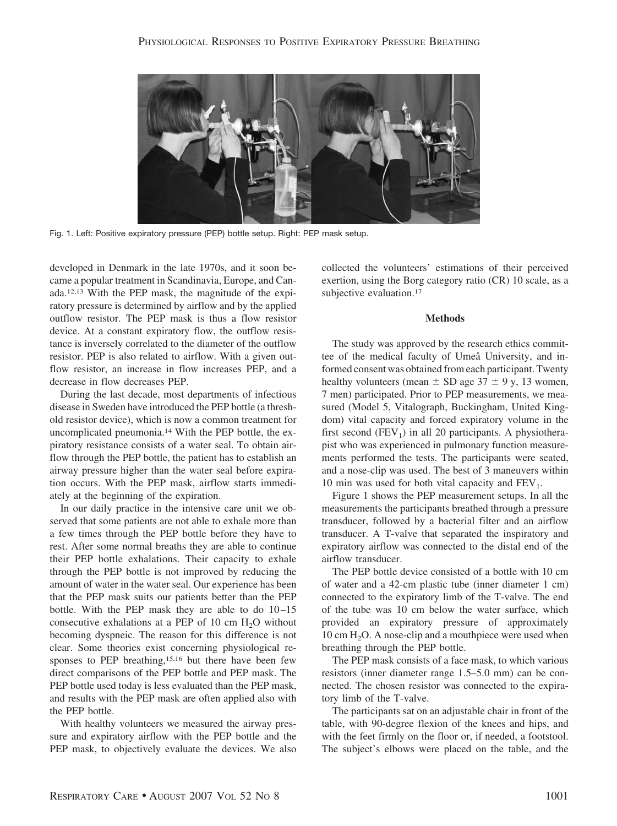

Fig. 1. Left: Positive expiratory pressure (PEP) bottle setup. Right: PEP mask setup.

developed in Denmark in the late 1970s, and it soon became a popular treatment in Scandinavia, Europe, and Canada.12,13 With the PEP mask, the magnitude of the expiratory pressure is determined by airflow and by the applied outflow resistor. The PEP mask is thus a flow resistor device. At a constant expiratory flow, the outflow resistance is inversely correlated to the diameter of the outflow resistor. PEP is also related to airflow. With a given outflow resistor, an increase in flow increases PEP, and a decrease in flow decreases PEP.

During the last decade, most departments of infectious disease in Sweden have introduced the PEP bottle (a threshold resistor device), which is now a common treatment for uncomplicated pneumonia.14 With the PEP bottle, the expiratory resistance consists of a water seal. To obtain airflow through the PEP bottle, the patient has to establish an airway pressure higher than the water seal before expiration occurs. With the PEP mask, airflow starts immediately at the beginning of the expiration.

In our daily practice in the intensive care unit we observed that some patients are not able to exhale more than a few times through the PEP bottle before they have to rest. After some normal breaths they are able to continue their PEP bottle exhalations. Their capacity to exhale through the PEP bottle is not improved by reducing the amount of water in the water seal. Our experience has been that the PEP mask suits our patients better than the PEP bottle. With the PEP mask they are able to do  $10-15$ consecutive exhalations at a PEP of 10 cm  $H_2O$  without becoming dyspneic. The reason for this difference is not clear. Some theories exist concerning physiological responses to PEP breathing,<sup>15,16</sup> but there have been few direct comparisons of the PEP bottle and PEP mask. The PEP bottle used today is less evaluated than the PEP mask, and results with the PEP mask are often applied also with the PEP bottle.

With healthy volunteers we measured the airway pressure and expiratory airflow with the PEP bottle and the PEP mask, to objectively evaluate the devices. We also collected the volunteers' estimations of their perceived exertion, using the Borg category ratio (CR) 10 scale, as a subjective evaluation.<sup>17</sup>

#### **Methods**

The study was approved by the research ethics committee of the medical faculty of Umeå University, and informed consent was obtained from each participant. Twenty healthy volunteers (mean  $\pm$  SD age 37  $\pm$  9 y, 13 women, 7 men) participated. Prior to PEP measurements, we measured (Model 5, Vitalograph, Buckingham, United Kingdom) vital capacity and forced expiratory volume in the first second  $(FEV_1)$  in all 20 participants. A physiotherapist who was experienced in pulmonary function measurements performed the tests. The participants were seated, and a nose-clip was used. The best of 3 maneuvers within 10 min was used for both vital capacity and  $FEV<sub>1</sub>$ .

Figure 1 shows the PEP measurement setups. In all the measurements the participants breathed through a pressure transducer, followed by a bacterial filter and an airflow transducer. A T-valve that separated the inspiratory and expiratory airflow was connected to the distal end of the airflow transducer.

The PEP bottle device consisted of a bottle with 10 cm of water and a 42-cm plastic tube (inner diameter 1 cm) connected to the expiratory limb of the T-valve. The end of the tube was 10 cm below the water surface, which provided an expiratory pressure of approximately  $10 \text{ cm H}_2$ O. A nose-clip and a mouthpiece were used when breathing through the PEP bottle.

The PEP mask consists of a face mask, to which various resistors (inner diameter range 1.5–5.0 mm) can be connected. The chosen resistor was connected to the expiratory limb of the T-valve.

The participants sat on an adjustable chair in front of the table, with 90-degree flexion of the knees and hips, and with the feet firmly on the floor or, if needed, a footstool. The subject's elbows were placed on the table, and the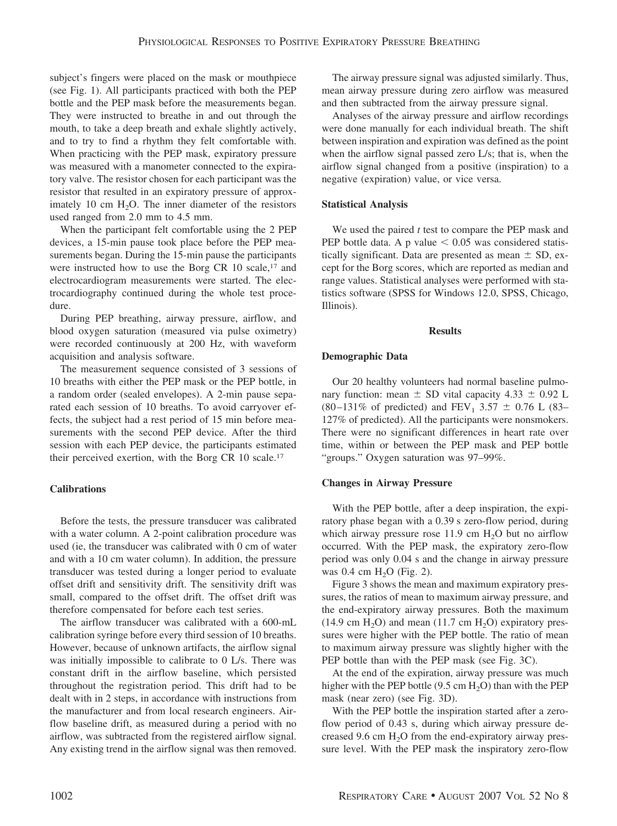subject's fingers were placed on the mask or mouthpiece (see Fig. 1). All participants practiced with both the PEP bottle and the PEP mask before the measurements began. They were instructed to breathe in and out through the mouth, to take a deep breath and exhale slightly actively, and to try to find a rhythm they felt comfortable with. When practicing with the PEP mask, expiratory pressure was measured with a manometer connected to the expiratory valve. The resistor chosen for each participant was the resistor that resulted in an expiratory pressure of approximately 10 cm  $H_2O$ . The inner diameter of the resistors used ranged from 2.0 mm to 4.5 mm.

When the participant felt comfortable using the 2 PEP devices, a 15-min pause took place before the PEP measurements began. During the 15-min pause the participants were instructed how to use the Borg CR 10 scale,<sup>17</sup> and electrocardiogram measurements were started. The electrocardiography continued during the whole test procedure.

During PEP breathing, airway pressure, airflow, and blood oxygen saturation (measured via pulse oximetry) were recorded continuously at 200 Hz, with waveform acquisition and analysis software.

The measurement sequence consisted of 3 sessions of 10 breaths with either the PEP mask or the PEP bottle, in a random order (sealed envelopes). A 2-min pause separated each session of 10 breaths. To avoid carryover effects, the subject had a rest period of 15 min before measurements with the second PEP device. After the third session with each PEP device, the participants estimated their perceived exertion, with the Borg CR 10 scale.17

# **Calibrations**

Before the tests, the pressure transducer was calibrated with a water column. A 2-point calibration procedure was used (ie, the transducer was calibrated with 0 cm of water and with a 10 cm water column). In addition, the pressure transducer was tested during a longer period to evaluate offset drift and sensitivity drift. The sensitivity drift was small, compared to the offset drift. The offset drift was therefore compensated for before each test series.

The airflow transducer was calibrated with a 600-mL calibration syringe before every third session of 10 breaths. However, because of unknown artifacts, the airflow signal was initially impossible to calibrate to 0 L/s. There was constant drift in the airflow baseline, which persisted throughout the registration period. This drift had to be dealt with in 2 steps, in accordance with instructions from the manufacturer and from local research engineers. Airflow baseline drift, as measured during a period with no airflow, was subtracted from the registered airflow signal. Any existing trend in the airflow signal was then removed.

The airway pressure signal was adjusted similarly. Thus, mean airway pressure during zero airflow was measured and then subtracted from the airway pressure signal.

Analyses of the airway pressure and airflow recordings were done manually for each individual breath. The shift between inspiration and expiration was defined as the point when the airflow signal passed zero L/s; that is, when the airflow signal changed from a positive (inspiration) to a negative (expiration) value, or vice versa.

## **Statistical Analysis**

We used the paired *t* test to compare the PEP mask and PEP bottle data. A p value  $\leq 0.05$  was considered statistically significant. Data are presented as mean  $\pm$  SD, except for the Borg scores, which are reported as median and range values. Statistical analyses were performed with statistics software (SPSS for Windows 12.0, SPSS, Chicago, Illinois).

#### **Results**

## **Demographic Data**

Our 20 healthy volunteers had normal baseline pulmonary function: mean  $\pm$  SD vital capacity 4.33  $\pm$  0.92 L  $(80-131\% \text{ of predicted})$  and FEV<sub>1</sub> 3.57  $\pm$  0.76 L (83– 127% of predicted). All the participants were nonsmokers. There were no significant differences in heart rate over time, within or between the PEP mask and PEP bottle "groups." Oxygen saturation was 97–99%.

## **Changes in Airway Pressure**

With the PEP bottle, after a deep inspiration, the expiratory phase began with a 0.39 s zero-flow period, during which airway pressure rose 11.9 cm  $H_2O$  but no airflow occurred. With the PEP mask, the expiratory zero-flow period was only 0.04 s and the change in airway pressure was  $0.4 \text{ cm H}_2\text{O}$  (Fig. 2).

Figure 3 shows the mean and maximum expiratory pressures, the ratios of mean to maximum airway pressure, and the end-expiratory airway pressures. Both the maximum  $(14.9 \text{ cm H}_2\text{O})$  and mean  $(11.7 \text{ cm H}_2\text{O})$  expiratory pressures were higher with the PEP bottle. The ratio of mean to maximum airway pressure was slightly higher with the PEP bottle than with the PEP mask (see Fig. 3C).

At the end of the expiration, airway pressure was much higher with the PEP bottle  $(9.5 \text{ cm H}_2\text{O})$  than with the PEP mask (near zero) (see Fig. 3D).

With the PEP bottle the inspiration started after a zeroflow period of 0.43 s, during which airway pressure decreased 9.6 cm  $H<sub>2</sub>O$  from the end-expiratory airway pressure level. With the PEP mask the inspiratory zero-flow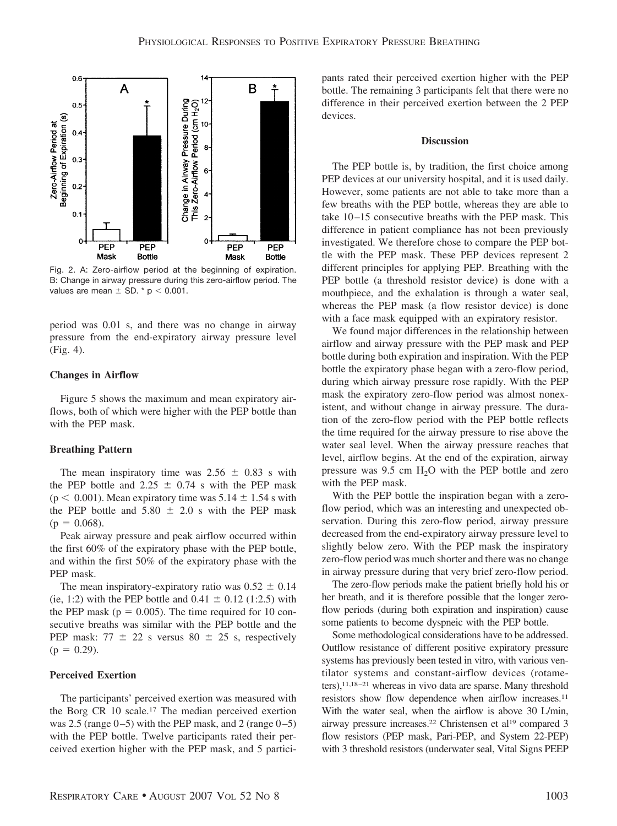

Fig. 2. A: Zero-airflow period at the beginning of expiration. B: Change in airway pressure during this zero-airflow period. The values are mean  $\pm$  SD.  $*$  p  $<$  0.001.

period was 0.01 s, and there was no change in airway pressure from the end-expiratory airway pressure level (Fig. 4).

### **Changes in Airflow**

Figure 5 shows the maximum and mean expiratory airflows, both of which were higher with the PEP bottle than with the PEP mask.

#### **Breathing Pattern**

The mean inspiratory time was  $2.56 \pm 0.83$  s with the PEP bottle and 2.25  $\pm$  0.74 s with the PEP mask  $(p < 0.001)$ . Mean expiratory time was  $5.14 \pm 1.54$  s with the PEP bottle and  $5.80 \pm 2.0$  s with the PEP mask  $(p = 0.068)$ .

Peak airway pressure and peak airflow occurred within the first 60% of the expiratory phase with the PEP bottle, and within the first 50% of the expiratory phase with the PEP mask.

The mean inspiratory-expiratory ratio was  $0.52 \pm 0.14$ (ie, 1:2) with the PEP bottle and  $0.41 \pm 0.12$  (1:2.5) with the PEP mask ( $p = 0.005$ ). The time required for 10 consecutive breaths was similar with the PEP bottle and the PEP mask:  $77 \pm 22$  s versus  $80 \pm 25$  s, respectively  $(p = 0.29)$ .

### **Perceived Exertion**

The participants' perceived exertion was measured with the Borg CR 10 scale.<sup>17</sup> The median perceived exertion was 2.5 (range  $(0-5)$ ) with the PEP mask, and 2 (range  $(0-5)$ ) with the PEP bottle. Twelve participants rated their perceived exertion higher with the PEP mask, and 5 participants rated their perceived exertion higher with the PEP bottle. The remaining 3 participants felt that there were no difference in their perceived exertion between the 2 PEP devices.

#### **Discussion**

The PEP bottle is, by tradition, the first choice among PEP devices at our university hospital, and it is used daily. However, some patients are not able to take more than a few breaths with the PEP bottle, whereas they are able to take 10 –15 consecutive breaths with the PEP mask. This difference in patient compliance has not been previously investigated. We therefore chose to compare the PEP bottle with the PEP mask. These PEP devices represent 2 different principles for applying PEP. Breathing with the PEP bottle (a threshold resistor device) is done with a mouthpiece, and the exhalation is through a water seal, whereas the PEP mask (a flow resistor device) is done with a face mask equipped with an expiratory resistor.

We found major differences in the relationship between airflow and airway pressure with the PEP mask and PEP bottle during both expiration and inspiration. With the PEP bottle the expiratory phase began with a zero-flow period, during which airway pressure rose rapidly. With the PEP mask the expiratory zero-flow period was almost nonexistent, and without change in airway pressure. The duration of the zero-flow period with the PEP bottle reflects the time required for the airway pressure to rise above the water seal level. When the airway pressure reaches that level, airflow begins. At the end of the expiration, airway pressure was  $9.5 \text{ cm } H_2O$  with the PEP bottle and zero with the PEP mask.

With the PEP bottle the inspiration began with a zeroflow period, which was an interesting and unexpected observation. During this zero-flow period, airway pressure decreased from the end-expiratory airway pressure level to slightly below zero. With the PEP mask the inspiratory zero-flow period was much shorter and there was no change in airway pressure during that very brief zero-flow period.

The zero-flow periods make the patient briefly hold his or her breath, and it is therefore possible that the longer zeroflow periods (during both expiration and inspiration) cause some patients to become dyspneic with the PEP bottle.

Some methodological considerations have to be addressed. Outflow resistance of different positive expiratory pressure systems has previously been tested in vitro, with various ventilator systems and constant-airflow devices (rotameters),<sup>11,18-21</sup> whereas in vivo data are sparse. Many threshold resistors show flow dependence when airflow increases.11 With the water seal, when the airflow is above 30 L/min, airway pressure increases.22 Christensen et al19 compared 3 flow resistors (PEP mask, Pari-PEP, and System 22-PEP) with 3 threshold resistors (underwater seal, Vital Signs PEEP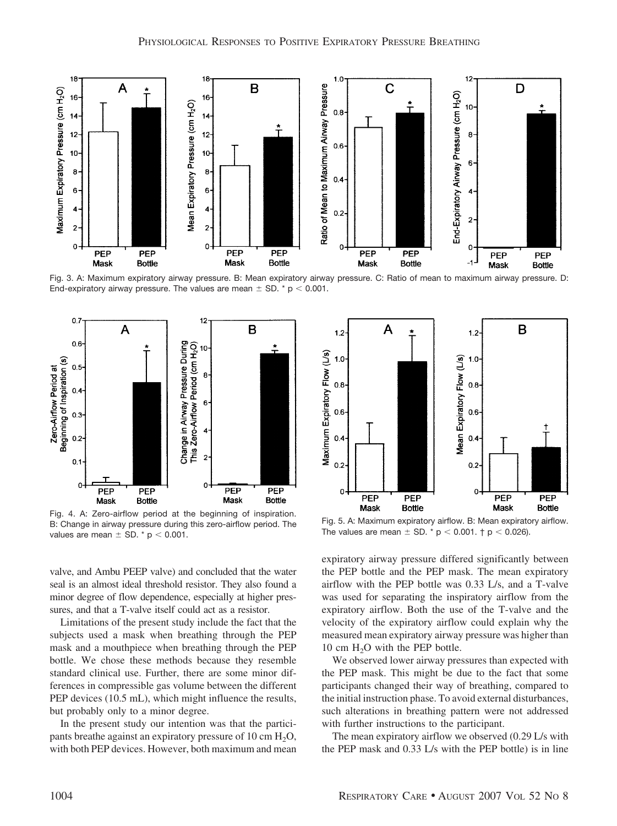

Fig. 3. A: Maximum expiratory airway pressure. B: Mean expiratory airway pressure. C: Ratio of mean to maximum airway pressure. D: End-expiratory airway pressure. The values are mean  $\pm$  SD.  $^*$  p  $<$  0.001.



Fig. 4. A: Zero-airflow period at the beginning of inspiration. B: Change in airway pressure during this zero-airflow period. The values are mean  $\pm$  SD.  $*$  p  $<$  0.001.

valve, and Ambu PEEP valve) and concluded that the water seal is an almost ideal threshold resistor. They also found a minor degree of flow dependence, especially at higher pressures, and that a T-valve itself could act as a resistor.

Limitations of the present study include the fact that the subjects used a mask when breathing through the PEP mask and a mouthpiece when breathing through the PEP bottle. We chose these methods because they resemble standard clinical use. Further, there are some minor differences in compressible gas volume between the different PEP devices (10.5 mL), which might influence the results, but probably only to a minor degree.

In the present study our intention was that the participants breathe against an expiratory pressure of 10 cm  $H_2O$ , with both PEP devices. However, both maximum and mean



Fig. 5. A: Maximum expiratory airflow. B: Mean expiratory airflow. The values are mean  $\pm$  SD.  $^*$  p  $<$  0.001.  $\dagger$  p  $<$  0.026).

expiratory airway pressure differed significantly between the PEP bottle and the PEP mask. The mean expiratory airflow with the PEP bottle was 0.33 L/s, and a T-valve was used for separating the inspiratory airflow from the expiratory airflow. Both the use of the T-valve and the velocity of the expiratory airflow could explain why the measured mean expiratory airway pressure was higher than 10 cm  $H<sub>2</sub>O$  with the PEP bottle.

We observed lower airway pressures than expected with the PEP mask. This might be due to the fact that some participants changed their way of breathing, compared to the initial instruction phase. To avoid external disturbances, such alterations in breathing pattern were not addressed with further instructions to the participant.

The mean expiratory airflow we observed (0.29 L/s with the PEP mask and 0.33 L/s with the PEP bottle) is in line